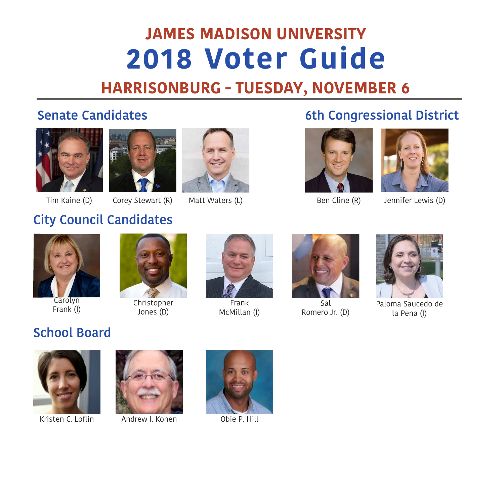# **JAMES MADISON UNIVERSITY 2018 Voter Guide**

## **HARRISONBURG - TUESDAY, NOVEMBER 6**







## **Senate Candidates** 6th Congressional District





Tim Kaine (D) Corey Stewart (R) Matt Waters (L) Ben Cline (R) Jennifer Lewis (D)



## **City Council Candidates**



**Carolyn** Frank (I)



Christopher Jones (D)



Frank McMillan (I)



Sal Romero Jr. (D)



Paloma Saucedo de la Pena (I)

## **School Board**



Kristen C. Loflin Andrew I. Kohen Obie P. Hill



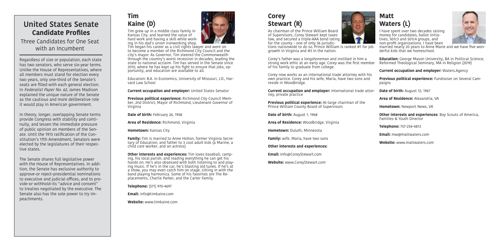As chairman of the Prince William Board of Supervisors, Corey Stewart kept taxes low, and secured a triple-AAA bond rating for the county – one of only 36 jurisdic-

tions nationwide to do so. Prince William is ranked #1 for job growth in Virginia and #3 in the nation.

Corey now works as an international trade attorney with his own practice. Corey and his wife, Maria, have two sons and reside in Woodbridge.

## United States Senate **Kaine (D) Stewart (R) Stewart (R) Stewart (R) Candidate Profiles**

**Current occupation and employer:** International trade attor-

ney, private practice

**Previous political experience:** At-large chairman of the Prince William County Board of Supervisors

**Date of birth: August 1, 1968** 

**Area of Residence:** Woodbridge, Virginia

**Hometown:** Duluth, Minnesota

**Family:** wife, Maria, have two sons

Corey's father was a longshoreman and instilled in him a strong work ethic at an early age. Corey was the first member of his family to graduate from college. **Education:** George Mason University, BA in Political Science; Reformed Theological Seminary, MA in Religion (2019)

### **Other interests and experiences:**

**Email:** Info@CoreyStewart.com

**Website:** www.CoreyStewart.com

## **Tim Kaine (D)**



# **Corey**

I have spent over two decades raising money for candidates, ballot initiatives, 501c3 and 501c4 groups, and non-profit organizations. I have been



married nearly 20 years to Anne Marie and we have five wonderful kids that we homeschool.

**Current occupation and employer:** Waters.Agency

**Previous political experience:** Fundraiser on Several Campaigns

**Date of birth: August 12, 1967** 

**Area of Residence:** Alexandria, VA

**Hometown:** Newport News, VA

**Other interests and experiences**: Boy Scouts of America, Families & Youth Director

**Telephone:** 757-254-4813

**Email:** mw@mattwaters.com

**Website:** www.mattwaters.com

Regardless of size or population, each state has two senators, who serve six-year terms. Unlike the House of Representatives, where all members must stand for election every two years, only one-third of the Senate's seats are filled with each general election. In Federalist Paper No. 62, James Madison explained the unique nature of the Senate as the cautious and more deliberative role it would play in American government.

In theory, longer, overlapping Senate terms provide Congress with stability and continuity, and lessen the immediate pressure of public opinion on members of the Senate. Until the 1913 ratification of the Constitution's 17th Amendment, Senators were elected by the legislatures of their respective states.

The Senate shares full legislative power with the House of Representatives. In addition, the Senate has exclusive authority to approve–or reject–presidential nominations to executive and judicial offices, and to provide–or withhold–its "advice and consent" to treaties negotiated by the executive. The Senate also has the sole power to try impeachments.

Tim grew up in a middle class family in Kansas City, and learned the value of hard work and having a skill while working in his dad's union ironworking shop.

Tim began his career as a civil rights lawyer and went on to become a member of the Richmond City Council and the city's mayor. As Governor, Tim steered the Commonwealth through the country's worst recession in decades, leading the state to national acclaim. Tim has served in the Senate since 2010, where he has kept up his fight to ensure that jobs, opportunity, and education are available to all.

Education: B.A. in Economics, University of Missouri, J.D., Harvard Law School

**Current occupation and employer:** United States Senator

**Previous political experience:** Richmond City Council Member, 2nd District, Mayor of Richmond, Lieutenant Governor of Virginia

**Date of birth:** February 26, 1958

**Area of Residence:** Richmond, Virginia

**Hometown:** Kansas City

**Family:** Tim is married to Anne Holton, former Virginia Secretary of Education, and father to 3 cool adult kids (a Marine, a child care worker, and an actress)

**Other interests and experiences:** Tim loves baseball, camping, his local parish, and reading everything he can get his hands on. He's also obsessed with both listening to and playing music. If he's in the car, he's blasting old tunes. If he's at a show, you may even catch him on stage, sitting in with the band playing harmonica. Some of his favorites are The Replacements, Charlie Parker, and the Carter Family.

**Telephone:** (571) 970-4697

**Email:** info@timkaine.com

**Website:** www.timkaine.com



Three Candidates for One Seat with an Incumbent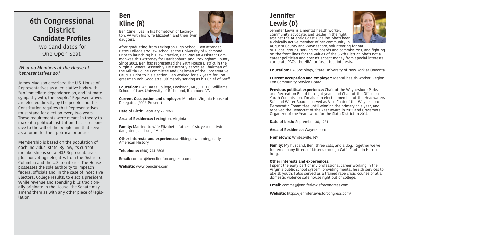Jennifer Lewis is a mental health worker, community advocate, and leader in the fight against the Atlantic Coast Pipeline. She's been a civically active member of her community in



Augusta County and Waynesboro, volunteering for various local groups, serving on boards and commissions, and fighting on the front lines for the values of the Sixth District. She's not a career politician and doesn't accept money from special interests, corporate PACs, the NRA, or fossil-fuel interests.

**Education:** BA, Sociology, State University of New York at Oneonta

**Current occupation and employer:** Mental health worker, Region Ten Community Service Board

**Previous political experience:** Chair of the Waynesboro Parks and Recreation Board for eight years and Chair of the Office on Youth Commission. I'm also an elected member of the Headwaters Soil and Water Board. I served as Vice Chair of the Waynesboro Democratic Committee until winning the primary this year, and I received the Democrat of the Year award in 2013 and Grassroots Organizer of the Year award for the Sixth District in 2014.

**Date of birth:** September 30, 1981

**Area of Residence:** Waynesboro

**Hometown:** Whitesville, NY

**Family:** My husband, Ben, three cats, and a dog. Together we've fostered many litters of kittens through Cat's Cradle in Harrison-

burg.

### **Other interests and experiences:**

**Other interests and experiences: Hiking, swimming, early** American History

> I spent the early part of my professional career working in the Virginia public school system, providing mental health services to at-risk youth. I also served as a trained rape crisis counselor at a domestic violence safe house right out of college.

**Email:** comms@jenniferlewisforcongress.com

**Website:** https://jenniferlewisforcongress.com/

## **Jennifer Lewis (D)**

## **Ben Kline (R)**

Ben Cline lives in his hometown of Lexington, VA with his wife Elizabeth and their twin daugters.

After graduating from Lexington High School, Ben attended Bates College and law school at the University of Richmond. Prior to launching his law practice, Ben was an Assistant Commonwealth's Attorney for Harrisonburg and Rockingham County. Since 2002, Ben has represented the 24th House District in the Virginia General Assembly. He currently serves as Chairman of the Militia-Police Committee and Chairman of the Conservative Caucus. Prior to his election, Ben worked for six years for Congressman Bob Goodlatte, ultimately serving as his Chief of Staff.

**Education:** B.A.; Bates College, Lewiston, ME, J.D.; T.C. Williams School of Law, University of Richmond, Richmond VA

**Current Occupation and employer**: Member, Virginia House of Delegates (2002-Present)

**Date of Birth:** February 29, 1972

**Area of Residence:** Lexington, Virginia

**Family:** Married to wife Elizabeth, father of six year old twin daughters, and dog "Max"

**Telephone:** (540)-744-2606

**Email:** contact@benclineforcongress.com

**Website:** www.bencline.com



### What do Members of the House of Representatives do?

James Madison described the U.S. House of Representatives as a legislative body with "an immediate dependence on, and intimate sympathy with, the people." Representatives are elected directly by the people and the Constitution requires that Representatives must stand for election every two years. These requirements were meant in theory to make it a political institution that is responsive to the will of the people and that serves as a forum for their political priorities.

Membership is based on the population of each individual state. By law, its current membership is set at 435 Representatives, plus nonvoting delegates from the District of Columbia and the U.S. territories. The House possesses the sole authority to impeach federal officials and, in the case of indecisive Electoral College results, to elect a president. While revenue and spending bills traditionally originate in the House, the Senate may amend them as with any other piece of legislation.

## **6th Congressional District Candidate Profiles**

Two Candidates for One Open Seat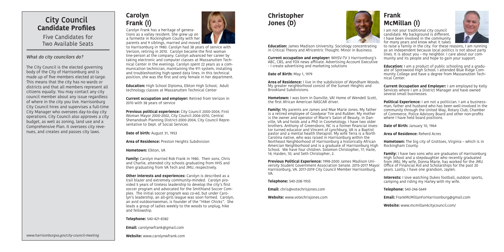## **Carolyn Frank (I)**

Carolyn Frank has a heritage of generations as a valley resident. She grew up on a farmette in Rockingham County with her parents and 9 siblings, married and moved

to Harrisonburg in 1980. Carolyn had 38 years of service with Verizon, retiring in 2010. Carolyn became the first woman line-person at the company. Carolyn advanced her career by taking electronic and computer classes at Massanutten Technical Center in the evenings. Carolyn spent 22 years as a communication technician, maintaining the 911 system, installing and troubleshooting high-speed data lines. In this technical position, she was the first and only female in her department.

**Education:** High School Diploma, Elkton High School; Adult technology classes at Massanutten Technical Center

**Current occupation and employer:** Retired from Verizon in 2010 with 38 years of service

**Previous political experience:** City Council 2000-2004, First Woman Mayor 2000-2002, City Council 2006-2010, Central Shenandoah Planning District-2000-2004, City Council Representative to Dept. of Social Services

**Date of birth:** August 31, 1953

**Area of Residence:** Preston Heights Subdivision

**Hometown:** Elkton, VA

**Family:** Carolyn married Rob Frank in 1980. Their sons, Chris and Charlie, attended city schools graduating from HHS and then graduating from VA Tech and JMU, respectively.

**Hometown:** I was born in Danville, VA! Home of Wendell Scott, the first African American NASCAR driver.

**Other interests and experiences:** Carolyn is described as a trail blazer and extremely community-minded. Carolyn provided 5 years of tireless leadership to develop the city's first soccer program and advocated for the Smithland Soccer Complex. The initial soccer program was co-ed, but under Carolyn's leadership, an all-girls league was soon formed. Carolyn, an avid outdoorswoman, is founder of the "Hiker Chicks". She leads a group of ladies weekly to the woods to unplug, hike and fellowship.

**Telephone:** 540-421-8382

**Email:** carolynwfrank@gmail.com

**Website:** www.carolynwfrank.com



## **Christopher Jones (D)**

## **Frank McMillan (I)**

**Education:** James Madison University. Sociology concentrating in Critical Theory and Africentric Thought. Minor in Business.

**Date of Birth: May 1, 1979** 

**Education:** I am a product of public schooling and a graduate of Spotswood High School. I attended Blue Ridge Community College and have a degree from Massanutten Technical Center.

**Current occupation and employer:** WHSV-TV 3 Harrisonburg's ABC, CBS, and FOX news affiliate. Advertising Account Executive - I create advertising and marketing solutions

**Area of Residence:** I live in the subdivision of Wyndham Woods. My greater neighborhood consist of the Sunset Heights and Brookland Subdivisions.

> **Interests:** I love watching Dukes football, outdoor sports, camping and riding my Harley with my wife.

**Family:** My parents are James and Mae Marie Jones. My father is a retired employee of Goodyear Tire and Rubber. My mother is the owner and operator of Marie's Salon of Beauty, in Danville, VA and holds and a PhD in Cosmetology. I have two older brothers. Anthony of Greensboro, NC is a former financial investor turned educator and Vincent of Lynchburg, VA is a Baptist pastor and a mental health therapist. My wife Terra is a North Carolina native, who was raised in Harrisonburg within the Northeast Neighborhood of Harrisonburg a historically African Amercian Neighborhood and is a graduate of Harrisonburg High School. We have four children. Solomon Christopher, 17; Haile,

VA.

**Telephone:** 540-208-1935

**Email:** chris@votechrisjones.com

**Website:** www.votechrisjones.com

I am not your traditional city council candidate. My background is different. I have been involved in the community for many years and know what it takes



to raise a family in the city. For these reasons, I am running as an independent because local politics is not about party lines. It is about you – my neighbor. I care about our community and its people and hope to gain your support.

14; Haiden, 10; and Seth Christopher, 2. **Previous Political Experience:** 1998-2000 James Madison University Student Government Association Senate. 2015-2017 Mayor Harrisonburg, VA. 2017-2019 City Council Member Harrisonburg, **Family:** I have two sons who are graduates of Harrisonburg High School and a stepdaughter who recently graduated from JMU. My wife, Donna Marie, has worked for the JMU Office of Financial Aid and Scholarships for the past 20 years. Lastly, I have one grandson, Jaylen.

**Current Occupation and Employer:** I am employed by Kelly Services where I am a District Manager and have owned several small businesses.

**Political Experience:** I am not a politician. I am a businessman, father and husband who has been well-involved in the community through the United Way, Rotary Club, Chamber of Commerce, Police Advisory Board and other non-profits where I have held board positions.

**Date of Birth: January 10, 1964** 

**Area of Residence:** Reherd Acres

**Hometown:** The big city of Grottoes, Virginia – which is in Rockingham County.

**Telephone:** 540-246-5649

**Email:** FrankMcMillanForHarrisonburg@gmail.com

**Website:** www.mcmillan4citycouncil.com/

### What do city councilors do?

The City Council is the elected governing body of the City of Harrisonburg and is made up of five members elected at-large. This means that the city has no wards or districts and that all members represent all citizens equally. You may contact any city council member about any issue regardless of where in the city you live. Harrisonburg City Council hires and supervises a full-time City Manager who oversees day-to-day city operations. City Council also approves a city budget, as well as zoning, land use and a Comprehensive Plan. It oversees city revenues, and creates and passes city laws.

www.harrisonburgva.gov/city-council-meeting



## **City Council Candidate Profiles**

Five Candidates for Two Available Seats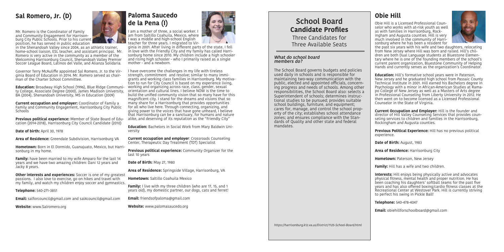I am a mother of three, a social worker. I am from Saltillo Coahuila, Mexico, where I was a middle and high-school English teacher for three years. I migrated to Vir-

ginia in 2001. After living in different parts of the state, I fell in love with the Friendly City and my family has called Harrisonburg home since 2010. My children include a high schooler and rising high schooler - who I primarily raised as a single mother - and a newborn.

I have overcome the challenges in my life with tireless strength, commitment and resolve; similar to many immigrants and working class families in Harrisonburg. My motivation to run for City Council is based on my experience living, working and organizing across race, class, gender, sexual orientation and cultural lines. I believe NOW is the time to build the unified community vision that so many have for this magnificent city. I stand for the dreams and visions that so many share for a Harrisonburg that provides opportunities for all who live here. Through connecting, organizing, and giving power to the voices that have gone unheard, I believe that Harrisonburg can be a sanctuary, for humans and nature alike, and deserving of its reputation as the "Friendly City"

**Family:** I live with my three children (who are 17, 15, and 1 years old), my domestic partner, our dogs, cats and ferret!

**Education:** Bachelors in Social Work from Mary Baldwin University

**Current occupation and employer**: Crossroads Counseling Center, Therapeutic Day Treatment (TDT) Specialist

**Current occupation and employer:** Coordinator of Family a Family and Community Engagement, Harrisonburg City Public Schools

> **Previous political experience:** Community Organizer for the last 10 years

**Date of Birth:** May 27, 1980

**Area of Residence:** Springside Village, Harrisonburg, VA

**Hometown:** Saltillo Coahuila Mexico

**Other interests and experiences:** Soccer is one of my greatest passions. I also love to exercise, go on hikes and travel with my family, and watch my children enjoy soccer and gymnastics.

**Email:** friendsofpaloma@gmail.com

**Website:** www.palomasaucedo.org



## **Paloma Saucedo de la Pena (I)**

## **Sal Romero, Jr. (D)**

Mr. Romero is the Coordinator of Family and Community Engagement for Harrisonburg City Public Schools. Prior to his current position, he has served in public education

in the Shenandoah Valley since 2004, as an athletic trainer, home-school liaison, ESL teacher, and assistant principal. Mr. Romero is very active in the community as a member of the Welcoming Harrisonburg Council, Shenandoah Valley Premier Soccer League Board, Latinos del Valle, and Alianza Solidaria.

Governor Terry McAuliffe appointed Sal Romero, Jr. to the Virginia Board of Education in 2014. Mr. Romero served as chairman of the Charter School Committee.

**Education:** Broadway High School (1996), Blue RIdge Community College, Associate Degree (2000), James Madison University, BA (2004), Shenandoah University, MS in Education (2009)

> **Interests:** Hill enjoys being physically active and advocates physical fitness, mental health and proper nutrition. He has been coaching his daughters' softball teams for the past five years and has also offered boxing/cardio fitness classes at the Recreational Center at Westover Park. Hill is currently striving to perfect his swing in Pickle Ball!

**Previous political experience:** Member of State Board of Education (2014-2018), Harrisonburg City Council Candidate (2010)

**Date of birth: April 30, 1978** 

**Area of Residence:** Greendale Subdivision, Harrisonburg VA

**Hometown:** Born in El Dormido, Guanajuato, Mexico, but Harrisonburg in my home.

**Family:** have been married to my wife Amparo for the last 14 years and we have two amazing children: Dani 12 years and Jacky 8 years.

**Telephone:** 540-271-3851

**Email:** salforcouncil@gmail.com and sal4council@gmail.com

**Website:** www.Salromero.org



Obie Hill is a Licensed Professional Counselor who works with at-risk youth as well as with families in Harrisonburg, Rockingham and Augusta counties. Hill is very much involved in the community of Harrisonburg where he has been a resident for



the past six years with his wife and two daughters, relocating from New Jersey where Hill was born and raised. Hill's children are both Dual Language students at Bluestone Elementary where he is one of the founding members of the school's current parent organization, Bluestone Community of Helping Hands and currently serves as the organization's Coordinator.

**Education:** Hill's formative school years were in Paterson, New Jersey and he graduated high school from Passaic County Technical Institute in 2001. Hill earned his Bachelors degree in Psychology with a minor in African-American Studies at Ramapo College of New Jersey as well as a Masters of Arts degree in Professional Counseling from Liberty University in 2012. He then went on to become licensed as a Licensed Professional Counselor in the State of Virginia.

**Current Occupation and Employer:** Hill is the founder and director of Hill Valley Counseling Services that provides counseling services to children and families in the Harrisonburg, Rockingham and Augusta counties.

**Previous Political Experience:** Hill has no previous political experience.

**Date of Birth:** August, 1983

**Area of Residence:** Harrisonburg City

**Hometown:** Paterson, New Jersey

**Family:** Hill has a wife and two children.

**Telephone:** 540-478-4047

**Email:** obiehillforschoolboard@gmail.com

## **Obie Hill**

### **What do school board members do?**

The School Board governs budgets and policies used daily in schools and is responsible for maintaining two-way communication with the public, elected and appointed officials, concerning progress and needs of schools. Among other responsibilities, the School Board also: selects a Superintendent of schools; determines instructional studies to be pursued; provides suitable school buildings, furniture, and equipment; cares for, manage, and control the school property of the city; establishes school attendance zones; and ensures compliance with the Standards of Quality and other state and federal

mandates.

https://harrisonburg.k12.va.us/District/1125-School-Board.html

## **School Board Candidate Profiles**

Three Candidates for Three Available Seats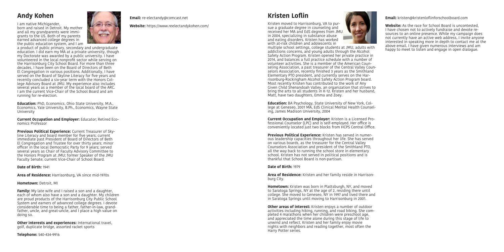## **Andy Kohen**

I am native Michigander,

born and raised in Detroit. My mother and all my grandparents were immigrants to the US. Both of my parents earned advanced college degrees in the public education system, and I am



a product of public primary, secondary and undergraduate education. I did earn my MA at a private university, though my Doctorate was awarded by a public university. I have volunteered in the local nonprofit sector while serving on the Harrisonburg City School Board. For more than three decades, I have been on the Board of Directors of Beth El Congregation in various positions. Additionally, I have served on the Board of Skyline Literacy for five years and recently concluded a six-year term with the Honors College Advisory Board at JMU. My experience also includes several years as a member of the local board of the ARC. I am the current Vice-Chair of the School Board and am running for re-election.

**Education:** PhD, Economics, Ohio State University, M.A., Economics, Yale University, B.Ph., Economics, Wayne State University

**Family:** My late wife and I raised a son and a daughter, each of whom also have a son and a daughter. My children are proud products of the Harrisonburg City Public School System and earners of advanced college degrees. I devote considerable time to being a father, father-in-law, grandfather, uncle, and great-uncle, and I place a high value on doing so.

**Current Occupation and Employer:** Educator; Retired Economics Professor

**Previous Political Experience:** Current Treasurer of Skyline Literacy and board member for five years; current immediate past President of Board of Directors of Beth El Congregation and Trustee for over thirty years; minor officer in the local Democratic Party for 9 years; served several years as Chair of Faculty Advisory Committee to the Honors Program at JMU; former Speaker of the JMU Faculty Senate; current Vice-Chair of School Board.

### **Date of Birth:** 1941

**Area of Residence:** Harrisonburg, VA since mid-1970s

### **Hometown:** Detroit, MI

**Other interests and experiences:** International travel, golf, duplicate bridge, assorted racket sports

**Telephone:** 540-434-9916

## **Kristen Loflin**

Kristen moved to Harrisonburg, VA to pur-



**Other areas of interest:** Kristen enjoys a number of outdoor activities including hiking, running, and road biking. She completed 4 marathons when her children were preschool age, and appreciated the time alone during this stage of life to unwind and reflect. Kristen and her family enjoy movie nights with neighbors and reading together, most often the Harry Potter series.

sue a graduate degree in counseling and received her MA and EdS degrees from JMU in 2004, specializing in substance abuse and eating disorders. Kristen has worked with at-risk children and adolescents in multiple school settings, college students at JMU, adults with addictions concerns, and young adults through the Alcohol Safety Action Program. Kristen opened her private practice in 2014, and balances a full practice schedule with a number of volunteer activities. She is a member of the American Counseling Association, a past treasurer of the Central Valley Counselors Association, recently finished 3 years as the Smithland Elementary PTO president, and currently serves on the Harrisonburg-Rockingham Alcohol Safety Action Program board. Most recently Kristen has contributed to the work of Any Given Child Shenandoah Valley, an organization that strives to bring the arts to all students in K-12. Kristen and her husband, Matt, have two daughters, Emma and Zoey.

**Education:** BA Psychology, State University of New York, College at Geneseo, 2001 MA, EdS Clinical Mental Health Counseling, James Madison University, 2004

**Current Occupation and Employer:** Kristen is a Licensed Professional Counselor (LPC) and is self-employed. Her office is conveniently located just two blocks from HCPS Central Office.

**Previous Political Experience:** Kristen has served in numerous leadership capacities throughout her life. She has served on various boards, as the treasurer for the Central Valley Counselors Association and president of the Smithland PTO, all the way back to running the school store in elementary school. Kristen has not served in political positions and is thankful that School Board is non-partisan.

### **Date of Birth:** 1979

**Area of Residence:** Kristen and her family reside in Harrison-

burg City.

**Hometown:** Kristen was born in Plattsburgh, NY, and moved to Saratoga Springs, NY at the age of 2, residing there until college. She moved to Geneseo, NY in 1997 and lived there and in Saratoga Springs until moving to Harrisonburg in 2001.

**Email:** kristen@kristenloflinforschoolboard.com

**Website:** As the race for School Board is uncontested, I have chosen not to actively fundraise and devote resources to an online presence. While my campaign does not currently have an active web address, I invite anyone interested in speaking more in depth to contact me at the above email. I have given numerous interviews and am happy to meet to listen and engage in open dialogue.

### **Email:** re-electandy@comcast.net

**Website:** https://www.reelectandykohen.com/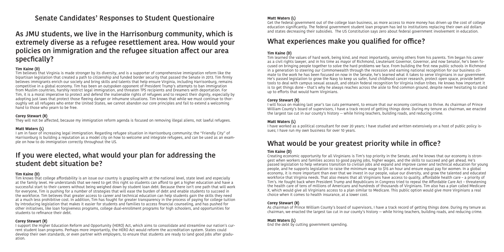## **Senate Candidates' Responses to Student Questionaire**

## **As JMU students, we live in the Harrisonburg community, which is extremely diverse as a refugee resettlement area. How would your policies on immigration and the refugee situation affect our area specfically?**

### **Tim Kaine (D)**

Tim believes that Virginia is made stronger by its diversity, and is a supporter of comprehensive immigration reform like the bipartisan legislation that created a path to citizenship and funded border security that passed the Senate in 2013. Tim firmly believes immigrants enrich our society and bring skills and talents that help ensure Virginia, including Harrisonburg, remains competitive in a global economy. Tim has been an outspoken opponent of President Trump's attempts to ban immigration from Muslim countries, harshly restrict legal immigration, and threaten TPS recipients and Dreamers with deportation. For Tim, it is a moral imperative to protect and defend the inalienable rights of refugees and to respect their dignity, especially by adopting just laws that protect those fleeing danger or inhumane situations. Tim knows that while we must continue to thoroughly vet all refugees who enter the United States, we cannot abandon our core principles and fail to extend a welcoming hand to those who yearn to be free.

### **Corey Stewart (R)**

They will not be affected, because my immigration reform agenda is focused on removing illegal aliens, not lawful refugees.

### **Matt Waters (L)**

I am in favor of increasing legal immigration. Regarding refugee situation in Harrisonburg community; the "Friendly City" of Harrisonburg is building a reputation as a model city on how to welcome and integrate refugees, and can be used as an example on how to do immigration correctly throughout the US.

## **If you were elected, what would your plan for addressing the student debt situation be?**

### **Tim Kaine (D)**

Tim knows that college affordability is an issue our country is grappling with at the national level, state level and especially at the family level. He understands that we need to get this right so students can afford to get a higher education and have a successful start to their careers without being weighed down by student loan debt. Because there isn't one path that will work for everyone, Tim is pushing for a number of strategies that will ease the burden of debt and enable students to succeed in the workforce. Tim believes that greater access to career and technical education can help students gain the skills they need at a much less prohibitive cost. In addition, Tim has fought for greater transparency in the process of paying for college tuition by introducing legislation that makes it easier for students and families to access financial counseling, and has pushed for other initiatives, like loan forgiveness programs, college dual-enrollment programs for high schoolers, and opportunities for students to refinance their debt.

### **Corey Stewart (R)**

I support the Higher Education Reform and Opportunity (HERO) Act, which aims to consolidate and streamline our nation's current student loan programs. Perhaps more importantly, the HERO Act would reform the accreditation system. States could develop their own standards, or even partner with employers, to ensure that students are ready to land good jobs after graduation.

### **Matt Waters (L)**

Get the federal government out of the college loan business, as more access to more money has driven up the cost of college education significantly. The federal government student loan program has led to institutions replacing their own aid dollars and states decreasing their subsidies. The US Constitution says zero about federal government involvement in education.

## **What experiences make you qualified for office?**

### **Tim Kaine (D)**

Tim learned the values of hard work, being kind, and most importantly, serving others from his parents. Tim began his career as a civil rights lawyer, and in his time as mayor of Richmond, Lieutenant Governor, Governor, and now Senator, he's been focused on bringing people together to solve the hard problems we face. From building the first new public schools in Richmond in a generation to steering our Commonwealth through the recession and earning national recognition for our business climate to the work he has been focused on now in the Senate, he's learned what it takes to serve Virginians in our government. He's passed legislation to grow the Navy to keep us safer, fund childhood cancer research, protect open space, provide better tools to deal with campus sexual assault, and obtain federal recognition for Virginia Indian tribes. He knows how important it is to get things done – that's why he always reaches across the aisle to find common ground, despite never hesitating to stand up to efforts that would harm Virginians.

### **Corey Stewart (R)**

I will focus on making last year's tax cuts permanent, to ensure that our economy continues to thrive. As chairman of Prince William County's board of supervisors, I have a track record of getting things done. During my tenure as chairman, we enacted the largest tax cut in our county's history -- while hiring teachers, building roads, and reducing crime.

### **Matt Waters (L)**

I have worked as a political consultant for over 20 years; I have studied and written extensively on a host of public policy issues; I have run my own business for over 10 years.

## **What would be your greatest priority while in office?**

### **Tim Kaine (D)**

Creating economic opportunity for all Virginians is Tim's top priority in the Senate, and he knows that our economy is strongest when workers and families access to good paying jobs, higher wages, and the skills to succeed and get ahead. He's passed legislation to help veterans transition to civilian jobs and expand and improve career and technical education for young people, and he supports legislation to raise the minimum wage to \$15 an hour and ensure equal pay for women. In a global economy, it is more important than ever that we invest in our people, value our diversity, and grow the talented and educated workforce that Virginia needs. That also means that all Virginians have access to quality, affordable health care – a priority of Tim's. He fought back when President Trump and Republicans in Congress tried to repeal the Affordable Care Act – threatening the health care of tens of millions of Americans and hundreds of thousands of Virginians. Tim also has a plan called Medicare X, which would give all Virginians access to a plan similar to Medicare. This public option would give more Virginians a real choice when it comes to health insurance, at a lower cost.

### **Corey Stewart (R)**

As chairman of Prince William County's board of supervisors, I have a track record of getting things done. During my tenure as chairman, we enacted the largest tax cut in our county's history -- while hiring teachers, building roads, and reducing crime.

**Matt Waters (L)**  End the debt by cutting government spending.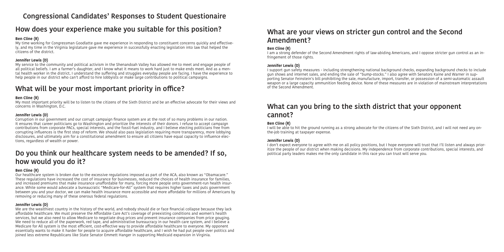## **Congressional Candidates' Responses to Student Questionaire**

## **How does your experience make you suitable for this position?**

### **Ben Cline (R)**

My time working for Congressman Goodlatte gave me experience in responding to constituent concerns quickly and effectively, and my time in the Virginia legislature gave me experience in successfully enacting legislation into law that helped the citizens of the district.

### **Jennifer Lewis (D)**

My service to the community and political activism in the Shenandoah Valley has allowed me to meet and engage people of all political beliefs. I am a farmer's daughter, and I know what it means to work hard just to make ends meet. And as a mental health worker in the district, I understand the suffering and struggles everyday people are facing. I have the experience to help people in our district who can't afford to hire lobbyists or make large contributions to political campaigns.

## **What will be your most important priority in office?**

### **Ben Cline (R)**

My most important priority will be to listen to the citizens of the Sixth District and be an effective advocate for their views and concerns in Washington, D.C.

### **Jennifer Lewis (D)**

Corruption in our government and our corrupt campaign finance system are at the root of so many problems in our nation. It ensures that career politicians go to Washington and prioritize the interests of their donors. I refuse to accept campaign contributions from corporate PACs, special interests, and the fossil-fuel industry, and I believe electing politicians free from corrupting influences is the first step of reform. We should also pass legislation requiring more transparency, more lobbying disclosures, and ultimately aim for a constitutional amendment to ensure all citizens have equal capacity to influence elections, regardless of wealth or power.

## **Do you think our healthcare system needs to be amended? If so, how would you do it?**

### **Ben Cline (R)**

Our healthcare system is broken due to the excessive regulations imposed as part of the ACA, also known as "Obamacare." These regulations have increased the cost of insurance for businesses, reduced the choices of health insurance for families, and increased premiums that make insurance unaffordable for many, forcing more people onto government-run health insurance. While some would advocate a bureaucratic "Medicare-for-All" system that requires higher taxes and puts government between you and your doctor, we can make health insurance more accessible and more affordable for millions of Americans by removing or reducing many of these onerous federal regulations.

### **Jennifer Lewis (D)**

We are the wealthiest country in the history of the world, and nobody should die or face financial collapse because they lack affordable healthcare. We must preserve the Affordable Care Act's coverage of preexisting conditions and women's health services, but we also need to allow Medicare to negotiate drug prices and prevent insurance companies from price gouging. We need to reduce all of the paperwork, red tape, and administrative bureaucracy in our health care system, and I believe a Medicare for All system is the most efficient, cost-effective way to provide affordable healthcare to everyone. My opponent essentially wants to make it harder for people to acquire affordable healthcare, and I wish he had put people over politics and joined less extreme Republicans like State Senator Emmett Hanger in supporting Medicaid expansion in Virginia.

## **What are your views on stricter gun control and the Second Amendment?**

**Ben Cline (R)** 

I am a strong defender of the Second Amendment rights of law-abiding Americans, and I oppose stricter gun control as an infringement of those rights.

### **Jennifer Lewis (D)**

I support gun safety measures - including strengthening national background checks, expanding background checks to include gun shows and internet sales, and ending the sale of "bump-stocks." I also agree with Senators Kaine and Warner in supporting Senator Feinstein's bill prohibiting the sale, manufacture, import, transfer, or possession of a semi-automatic assault weapon or a large capacity ammunition feeding device. None of these measures are in violation of mainstream interpretations of the Second Amendment.

# **What can you bring to the sixth district that your opponent**

# **cannot?**

**Ben Cline (R)** 

I will be able to hit the ground running as a strong advocate for the citizens of the Sixth District, and I will not need any onthe-job training at taxpayer expense.

### **Jennifer Lewis (D)**

I don't expect everyone to agree with me on all policy positions, but I hope everyone will trust that I'll listen and always prioritize the people of our district when making decisions. My independence from corporate contributions, special interests, and political party leaders makes me the only candidate in this race you can trust will serve you.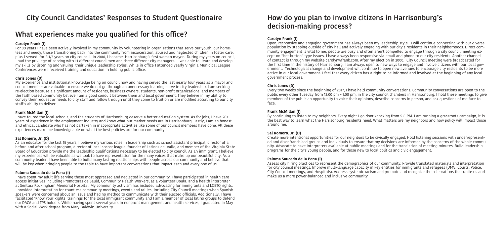## **City Council Candidates' Responses to Student Questionaire**

## **What experiences make you qualified for this office?**

### **Carolyn Frank (I)**

For 30 years I have been actively involved in my community by volunteering in organizations that serve our youth, our homeless and needy, those transitioning back into the community from incarceration, abused and neglected children in foster care, plus I served for 8 1/2 years on city council. In 2000, I became Harrisonburg's first woman mayor. During my years on council, I had the privilege of serving with 11 different councilmen and three different city managers. I was able to learn and develop my skills by listening and valuing their unique leadership styles. While in office I attended yearly Virginia Municipal League Conferences were I received training and education in holding public office.

### **Chris Jones (D)**

My experience and institutional knowledge being on council now and having served the last nearly four years as a mayor and council member are valuable to ensure we do not go through an unnecessary learning curve in city leadership. I am seeking re-election because a significant amount of residents, business owners, students, non-profit organizations, and members of the faith based community believe I am a good conduit between them and local government. They believe in my ability to convey their request or needs to city staff and follow through until they come to fruition or are modified according to our city staff's ability to deliver.

### **Frank McMillan (I)**

I have toured the local schools, and the students of Harrisonburg deserve a better education system. As for jobs, I have 20+ years of experience in the employment industry and know what our market needs are in Harrisonburg. Lastly, I am an honest and ethical candidate who has not partaken in inappropriate activities like some of our council members have done. All these experiences make me knowledgeable on what the best policies are for our community.

### **Sal Romero, Jr. (D)**

As an educator for the last 15 years, I believe my various roles in leadership such as school assistant principal, director of a before and after school program, director of local soccer league, founder of Latinos del Valle, and member of the Virginia State Board of Education provide me the leadership qualifications necessary to be elected to city council. As an immigrant, I believe my experiences will be valuable as we look to have representation for the many voices that make up our beautiful city. As a community leader, I have been able to build many lasting relationships with people across our community and believe that will be key when bringing people to the table to have important conversations that impact each and every one of us.

### **Paloma Saucedo de la Pena (I)**

I have spent my adult life serving those most oppressed and neglected in our community. I have participated in health care access initiatives including Promotoras de Sauld, Community Health Workers, as a volunteer Doula, and a health interpreter at Sentara Rockingham Memorial Hospital. My community activism has included advocating for immigrants and LGBTQ rights. I provided interpretation for countless community meetings, events and rallies, including City Council meetings when Spanish speakers were concerned about an issue and had no method to communicate with their elected officials. Additionally, I have facilitated 'Know Your Rights' trainings for the local immigrant community and I am a member of local latino groups to defend our DACA and TPS holders. While having spent several years in nonprofit management and health services, I graduated in May with a Social Work degree from Mary Baldwin University.

## **How do you plan to involve citizens in Harrisonburg's decision-making process?**

### **Carolyn Frank (I)**

Open, responsive and engaging government has always been my leadership style. I will continue connecting with our diverse population by stepping outside of city hall and actively engaging with our city's residents in their neighborhoods. Direct community engagement is vital to me, people are busy and often aren't compelled to engage through a city council meeting except on "hot button" type issues. I have always been responsive via email and phone to our city residents. Another channel of contact is through my website carolynwfrank.com. After my election in 2000, City Council meeting were broadcasted for the first time in the history of Harrisonburg. I am always open to new ways to engage and involve citizens with our local government. Technological change and development will continue to open new avenues to encourage city residents to be more active in our local government. I feel that every citizen has a right to be informed and involved at the beginning of any local government process.

### **Chris Jones (D)**

Every two weeks since the beginning of 2017, I have held community conversations. Community conversations are open to the public every other Tuesday from 12:00 pm – 1:00 pm, in the city council chambers in Harrisonburg. I hold these meetings to give members of the public an opportunity to voice their opinions, describe concerns in person, and ask questions of me face to

face.

### **Frank McMillan (I)**

By continuing to listen to my neighbors. Every night I go door knocking from 5-8 PM. I am running a grassroots campaign, it is the best way to learn what the Harrisonburg residents need. What matters are my neighbors and how policy will impact those

around me.

### **Sal Romero, Jr. (D)**

Create more intentional opportunities for our neighbors to be civically engaged. Hold listening sessions with underrepresented and disenfranchised groups and individuals to ensure that my decisions are informed by the concerns of the whole community. Advocate to have interpreters available at public meetings and for the translation of meeting minutes. Build leadership programs for the city's young people, and for those new to local politics and civic engagement.

### **Paloma Saucedo de la Pena (I)**

Assess city hiring practices to represent the demographics of our community. Provide translated materials and interpretation for city council meetings. Improve multi-language capacity in key entities for immigrants and refugees (DMV, Courts, Police, City Council meetings, and Hospitals). Address systemic racism and promote and recognize the celebrations that unite us and make us a more power-balanced and inclusive community.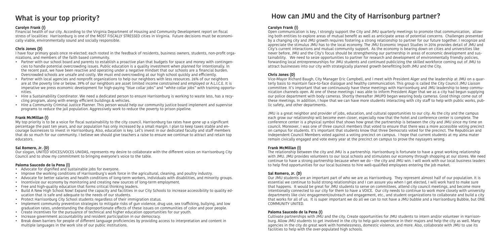## **What is your top priority?**

### **Carolyn Frank (I)**

Financial health of our city. According to the Virginia Department of Housing and Community Development report on fiscal stress of localities: Harrisonburg is one of the MOST FISCALLY STRESSED cities in Virginia. Future decisions must be economically viable, environmentally sound and socially responsible.

### **Chris Jones (D)**

I have four primary goals once re-elected; each rooted in the feedback of residents, business owners, students, non-profit organizations, and members of the faith based community.

- Partner with our school board and parents to establish a proactive plan that budgets for space and money with contingencies to handle potential overcrowding issues. Public education is a quality investment when planned for intentionally. In the recent past, we have been reactive and operating under a negative mindset that our schools are a financial burden. Overcrowded schools are unsafe and costly. We must end overcrowding at our high school quickly and efficiently.
- Partner with local agencies and nonprofit organizations to help our neighbors with less resources. 26% of our neighbors are at the poverty line or below. 39% of our neighbors are asset limited income constrained and employed or A.L.I.C.E. It is imperative we press economic development for high-paying "blue collar jobs" and "white collar jobs" with training opportunities.
- Hire a Sustainability Coordinator. We need a dedicated person to ensure Harrisonburg is working to waste less, has a recycling program, along with energy efficient buildings & vehicles.
- Hire a Community Criminal Justice Planner. This person would help our community justice board implement and supervise programs to reduce the jail population. Aggressively work to reduce the poverty to prison pipeline.

### **Frank McMillan (I)**

My top priority is to be a voice for fiscal sustainability to the city council. Harrisonburg tax rates have gone up a significant percentage the past ten years, and our population has only increased by a small margin. I plan to keep taxes stable and encourage businesses to invest in Harrisonburg. Also, education is key. Let's invest in our dedicated faculty and staff members that do so much for our community. I believe we should give teachers a raise to ensure we continue to attract and retain top educators.

### **Sal Romero, Jr. (D)**

Our slogan, UNITED VOICES/VOCES UNIDAS, represents my desire to collaborate with the different voices on Harrisonburg City Council and to show my commitment to bringing everyone's voice to the table.

### **Paloma Saucedo de la Pena (I)**

- Advocate for dignified and sustainable jobs for everyone.
- Improve the working conditions of Harrisonburg's work force in the agricultural, cleaning, and poultry industry.
- Advocate for better salaries and health conditions of long-term workers, individuals with disabilities, and minority groups.
- Incentivize our economy by monitoring and creating new sources of long-term employment.
- Free and high-quality education that forms critical thinking leaders.
- Build A New High School Now! Expand the capacity and facilities in our City Schools to increase accessibility to quality education that is safe and adequate to the needs of our students.
- Protect Harrisonburg City School students regardless of their immigration status.
- Implement community prevention strategies to mitigate risks of gun violence, drug use, sex trafficking, bullying, and low graduation rates, understanding the disproportionate effects of these issues on communities of color and poor people.
- Create incentives for the pursuance of technical and higher education opportunities for our youth.
- Increase government accountability and resident participation in our democracy.
- Break down barriers for people of different language proficiencies by providing access to interpretation and content in multiple languages in the work site of our public institutions.

## **How can JMU and the City of Harrisonburg partner?**

### **Carolyn Frank (I)**

Open communication is key, I strongly support the City and JMU quarterly meetings to promote that communication, allowing both entities to explore areas of mutual benefit as well as anticipate areas of potential concerns. Challenges presented by a changing city and JMU growth requires fostering a strong relationship to partner for our future together. I recognize and appreciate the stimulus JMU has to the local economy. The JMU Economic Impact Studies in 2016 provides detail of JMU and City's current interactions and mutual community support. As the economy is bearing down on cities and universities like never before, JMU and the City's focus should be strengthening our partnership in areas of economic development and sustainability. We need to seize opportunities to partner for research and development of environmentally friendly policies, forwarding local entrepreneurships for JMU students and continued publicizing the skilled workforce coming out of JMU to attract businesses into our city with strategically planned growth benefitting both JMU and the City.

### **Chris Jones (D)**

Vice-Mayor Richard Baugh, City Manager Eric Campbell, and I meet with President Alger and the leadership at JMU on a quarterly basis to maintain face-to-face dialogue and healthy communication. This group is called the City Council JMU Liaison committee. It's important that we continuously have these meetings with Harrisonburg and JMU leadership to keep communication channels open. At one of these meetings I was able to inform President Alger that we as a city had begun supplying our police department with body cameras. Shortly thereafter JMUPD began wearing body cameras. Good things come out of these meetings. In addition, I hope that we can have more students interacting with city staff to help with public works, public safety, and other departments.

JMU is a great neighbor and provider of jobs, education, and cultural opportunities to our city. As the city and the campus each grow our relationship will become even closer, especially now that the hotel and conference center is complete. The conference center is a physical symbol that shows how great the partnership is between the city and JMU since my time on council. Moreover, I was one of three council members that voted to ensure that there was a more accessible voting precinct on campus for students. It's important that students know that three Democrats voted for the precinct. The Republican and Independent Council Members voted against a voting precinct on campus. I hope that current students at my alma mater remain civically engaged and vote every year at the precinct on campus to prove the naysayers wrong.

### **Frank McMillan (I)**

The relationship between the city and JMU is a partnership. Harrisonburg is fortunate to have a great working relationship with JMU. JMU provides volunteers to our local schools and stimulates our economy through shopping at our stores. We need continue to have a strong partnership because when we do – the city and JMU win. I will work with our local business leaders to help find opportunities for our local business to hire well-qualified employees entering the job market.

### **Sal Romero, Jr. (D)**

Our JMU students are an important part of who we are as Harrisonburg. They represent almost half of our population. It is essential we continue to build strong relationships and I can assure you when I get elected, I will work hard to make sure that happens. It would be great for JMU students to serve on committees, attend city council meetings, and become more intentionally connected to our city for them to have a VOICE. Our city needs to continue to work more closely with university departments like civic engagement/outreach and engagement, etc., and student organizations to collaborate and build a city that works for all of us. It is super important we do all we can to not have a JMU bubble and a Harrisonburg Bubble, but ONE COMMUNITY UNITED.

### **Paloma Saucedo de la Pena (I)**

Cultivate partnerships with JMU and the city. Create opportunities for JMU students to intern and/or volunteer in Harrisonburg. Allow JMU students to get involved in the city to help gain experience in their majors and help the city as well. Many agencies in the city do great work with homelessness, domestic violence, and more. Also, collaborate with JMU to use its facilities to help with the over-populated high schools.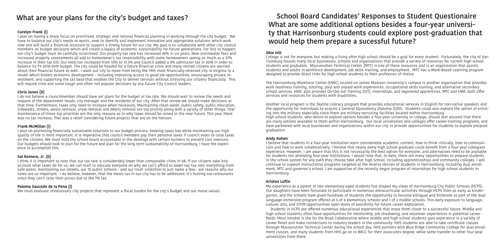## **What are your plans for the city's budget and taxes?**

### **Carolyn Frank (I)**

I plan on having a sharp focus on prioritized, strategic and rational financial planning in working through the city budget. We have to balance our city's needs vs wants, seek to Identify and implement innovative and appropriate solutions which work now and will build a financial structure to support a strong future for our city. My goal is to collaborate with other city council members on budget decisions which will create a legacy of economic sustainability for future generations. For this to happen; our city's budget must be carefully scrutinized. Our property tax rate has increased 44% in six years. New stormwater fees and increased property assessments all add to homeowner's tax responsibility with some homeowners seeing as much as a 57% increase in their tax bill. Our meal tax increased from 10% to 12.3% and Council added a 5% admission tax in 2018 in order to balance its FY-2018-2019 budget. The city could be headed for a future financial crisis and many retired citizens are worried about their financial future as well. I want our city to move from being the 19th most financially-stressed city in Virginia to a model which fosters economic development – including improving access to good job opportunities, encouraging private investment, and supporting the tax base that enables the City to deliver services without stressing our citizens financially. This will require time and some tough and often not popular decisions by any future City Council leaders.

I do not believe a councilmember should have set plans for the budget or tax rate. We should wait to review the needs and request of the department heads, city manager and the residents of our city. After that review we should make decisions at that time. Furthermore, taxes only need to increase when necessary. Maintaining clean water, public safety, public education, sidewalks, streets, waste removal, snow removal and debris removal are top priority along with a variety of other things. That maintenance of those top priorities are the only reasons as to why taxes should be raised in the near future. This year there was no tax increase. That was a relief considering future projects that are on the horizon.

### **Chris Jones (D)**

### **Frank McMillan (I)**

I plan on promoting financially sustainable solutions to our budget process. Keeping taxes low while maintaining our high quality of life is most important. It is imperative that council members pay their personal taxes if council votes to raise taxes on the citizens. We must hold the school board accountable in the dealings with certain builders to prevent cost overruns. Our budgets should look to plan for the future and plan for the long term sustainability of Harrisonburg, I have the experience to accomplish this.

### **Sal Romero, Jr. (D)**

I think it is important to note that our tax rate is considerably lower than comparable cities in VA. If our citizens take into account what taxes do for us, we can start to educate everyone on why we can't afford to lower our tax rate: everything from safe water, maintaining our streets, our 10 public schools - and our trash collection to just name a few - are reasons why our taxes are so important. I do believe, however, that the meals tax in our city has to be addressed. It's hurting our restaurants since they can't raise their prices due to the 7% tax.

### **Paloma Saucedo de la Pena (I)**

We must evaluate unnecessary city projects that represent a fiscal burden for the city's budget and our moral values.

## **School Board Candidates' Responses to Student Questionaire What are some additional options besides a four-year university that Harrisonburg students could explore post-graduation that would help them prepare a sucessful future?**

### **Obie Hill**

College is not for everyone, but making a living after high school should be a goal for every student. Fortunately, the city of Harrisonburg houses many local businesses, schools and organizations that provide a variety of resources for current high school students and graduates. Massanutten Technical Center (MTC) is one of these resources and is an organization that assists students and adults in workforce development, job skills training, and employment. MTC has a Work-Based Learning program designed to provide direct links for high school students to their profession of choice.

The Harrisonburg Workforce Center (HWC) located on James Madison University's campus is another organization that provides work readiness training, tutoring, paid and unpaid work experiences, occupational skills training, and alternative secondary school services. HWC also provides On-the-Job Training (OJT), internships, and registered apprentices. MTC and HWC both offer services and resources for students with disabilities.

Another local program is the Skyline Literacy program that provides educational services in English for non-native speakers and the opportunity for individuals to acquire a General Equivalency Diploma (GED). Students could also explore the option of enlisting into the military especially since there are military recruiting facilities located within Harrisonburg. High school students, who desire to explore options besides a four-year university or college, should rest assured that there are many options available to them within Harrisonburg. Our local universities and colleges offer career-training programs, and have partnered with local businesses and organizations within our city to provide opportunities for students to explore pre/post

graduation.

### **Andy Kohen**

I believe that students in a four-year institution learn considerable academic content, how to think critically, how to communicate and how to work collaboratively. I believe that nearly every high school graduate could benefit from a four-year collegiate experience. However, I am aware that this is not necessarily the best option for everyone, and alternatives need to be available for students not attending four-year institutions. I would note that, to date, there are many opportunities to prepare students in the school system for any path they choose take after high school, including apprenticeships and community colleges. I will continue to support instructional programs targeted at the diverse desires of students in Harrisonburg, including dual enrollment, MTC and governor's school. I am supportive of the recently begun program of internships for high school students in Harrisonburg.

### **Kristen Loflin**

My experience as a parent of two elementary-aged students has shaped my views of Harrisonburg City Public Schools (HCPS). Our daughters have been fortunate to participate in numerous extracurricular activities through HCPS from as early as kindergarten, and the schools have given hundreds of students the opportunity to become bilingual and biliterate as part of the dual language immersion program offered at 5 of 6 elementary schools and 1 of 2 middle schools. This early exposure to language, culture, arts, and STEM opportunities open doors of possibility for future career exploration.

 Students in HCPS are offered numerous educational experiences that move them closer to a successful future. Middle and high school students often have opportunities for mentorship, job shadowing, and volunteer experiences in potential career fields. Most notable is the On the Road Collaborative where middle and high school students gain experience in a variety of career fields and make connections to industry leaders in the community. HHS students are able to take certificate classes through Massanutten Technical Center during the school day. HHS partners with Blue Ridge Community College for dual enrollment classes, and many students from HHS go on to BRCC for their associates degree, while some transfer to other four-year universities from there.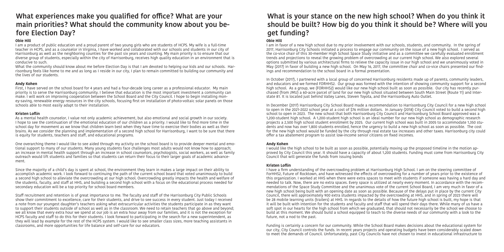## **What experiences make you qualified for office? What are your main priorities? What should the community know about you before Election Day?**

### **Obie Hill**

I am a product of public education and a proud parent of two young girls who are students of HCPS. My wife is a full-time teacher in HCPS, and as a counselor in Virginia, I have worked and collaborated with our schools and students in our city of Harrisonburg as well as the neighboring counties for the past six years and counting. My main priority is to ensure that our diverse group of students, especially within the city of Harrisonburg, receives high quality education in an environment that is conducive to such.

What the community should know about me before Election Day is that I am devoted to helping our kids and our schools. Harrisonburg feels like home to me and as long as I reside in our city, I plan to remain committed to building our community and the lives of our students.

### **Andy Kohen**

First, I have served on the school board for 4 years and had a four-decade long career as a professional educator. My main priority is to serve the Harrisonburg community. I believe that education is the most important investment a community can make. I will work on improving cooperation between the School Board and the City Council. I hope to begin installing money-saving, renewable energy resources in the city schools, focusing first on installation of photo-voltaic solar panels on those schools able to most easily adapt to their installation.

### **Kristen Loflin**

As a mental health counselor, I value not only academic achievement, but also emotional and social growth in our society. I hope to see the continuation of the emotional education of our children as a priority. I would like to find more time in the school day for movement as we know that children learn best when they have time to exercise their bodies as well as their brains. As we consider the planning and implementation of a second high school for Harrisonburg, I want to be sure that there is equity for students, teachers and staff, and educational programs.

One overarching theme I would like to see aided through my activity on the school board is to provide deeper mental and emotional support to many of our students. Many young students face challenges most adults would not know how to approach; an increase in mental health support through an increase in school counselors, psychologists, social workers, as well as family outreach would lift students and families so that students can return their focus to their larger goals of academic advancement.

Since the majority of a child's day is spent at school, the environment they learn in makes a large impact on their ability to accomplish academic work. I look forward to continuing the path of the current school board that voted unanimously to build a second high school to alleviate the overcrowding at our high school. Overcrowding greatly impacts the health and welfare of the students, faculty, and staff at HHS, and building a second high school with a focus on the educational process needed for secondary education will be a top priority for school board members.

Staff recruitment and retention is of great importance to me. The faculty and staff of the Harrisonburg City Public Schools show their commitment to excellence, care for their students, and drive to see success in every student. Just today I received a note from our youngest daughter's teachers asking what extracurricular activities the students participate in as they want to support their students outside of school as well as in the classroom. We need to retain teachers that go above and beyond; we all know that every extra hour we spend at our job is an extra hour away from our families, and it is not the exception for HCPS faculty and staff to do this for their students. I look forward to participating in the search for a new superintendent, as they will lead by example for the rest of the HCPS system. I would like to see smaller class sizes, more teaching assistants in classrooms, and more opportunities for life balance and self-care for our educators.

## **What is your stance on the new high school? When do you think it should be built? How big do you think it should be? Where will you get funding?**

**Obie Hill**  I am in favor of a new high school due to my prior involvement with our schools, students, and community. In the spring of 2017, Harrisonburg City Schools initiated a process to engage our community on the issue of a new high school. I served as the co-vice chair of this 30-member High School Space Study initiative and as a committee we carefully evaluated enrollment trends and projections to reveal the growing problem of overcrowding at our current high school. We also explored several options submitted by various architectural firms to relieve the capacity issue in our high school and we unanimously voted in May (2017) in favor of building a new high school. On May 16, 2017, the committee chair and co-vice chairs presented our findings and recommendation to the school board in a formal presentation.

In October (2017), I partnered with a local group of concerned Harrisonburg residents made up of parents, community leaders, and educators and we formed FORHHS2. Our group was formed with the intention of showing community support for a second high school. As a group, we (FORHHS2) would like our new high school built as soon as possible. Our city has recently purchased (from JMU) a 60-acre parcel of land for our new high school situated between South Main Street (Route 11) and Interstate 81. It is located just behind Valley Lanes, Steven Toyota, and the Harrisonburg Auto Outlet.

In December (2017) Harrisonburg City School Board made a recommendation to Harrisonburg City Council for a new high school to open in the 2021-2022 school year at a cost of \$76 million dollars. In January (2018) City Council voted to build a second high school to open in 2023. The new school that both Harrisonburg City Council and Harrisonburg School Board approved was a 1,200-student high school. A 1,200-student high school is an ideal number for our new high school as demographic research projects a 2,500 high school student enrollment by 2025. Our current high school was built in 2005 to accommodate 1,350 students and now has over 1,800 students enrolled, hence the urgency to build a new high school as soon as possible. The cost for the new high school would be funded by the city through real estate tax increases and other taxes. Harrisonburg city could offer a tax abatement program to assist low-income senior citizens on fixed incomes.

### **Andy Kohen**

I would like the high school to be built as soon as possible, potentially moving up the proposed timeline in the motion approved by City Council this year. It should have a capacity of about 1,200 students. Funding must come from Harrisonburg City Council that will generate the funds from issuing bonds

### **Kristen Loflin**

I have a firm understanding of the overcrowding problem at Harrisonburg High School. I am on the steering committee of ForHHS2, Future of Rocktown, and have witnessed the effects of overcrowding for a number of years prior to the existence of this organization. I worked at HHS when there were extra spaces to meet with students if someone was having a hard day and needed to talk. Now, there are no extra spaces. Every space is utilized at nearly every moment. In accordance with the recommendations of the Space Study Committee and the unanimous vote of the current School Board, I am very much in favor of a new high school being built with an opening date as soon as possible. Because of the delays put in place by the current City Council, there will approximately 900 extra students impacted by the overcrowding at HHS, and in spring of 2023 there will be 28 mobile learning units (trailers) at HHS. In regards to the details of how the future high school is built, my hope is that it will be built with intention for the students and faculty and staff that will spend their days there. While many of us have a soft spot in our hearts for the high school from which we graduated, that should not necessarily be the school we choose to build at this moment. We should build a school equipped to teach to the diverse needs of our community with a look to the future, not a nod to the past.

Funding is certainly a concern for our community. While the School Board makes decisions about the educational system for our city, City Council controls the funds. In recent years projects and operating budgets have been considerably scaled down to meet the demands of Council. Unfortunately, past City Councils have not chosen to invest in educational infrastructure to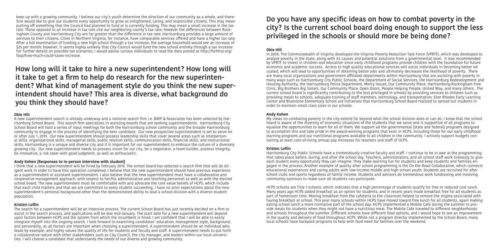keep up with a growing community. I believe our city's youth determine the direction of our community as a whole, and therefore would like to give our students every opportunity to grow as enlightened, caring, and responsible citizens. This may mean putting off something that the Council had planned to fund or is currently funding. This may mean a small increase in the tax rate. Those opposed to an increase in tax rate cite our neighboring county's tax rate; however the differences between Rockingham County and Harrisonburg City are far greater than the difference in tax rate. Harrisonburg provides a large amount of services to their citizens. Cities in Northern Virginia, for instance, have comparable services offered and have a higher tax rate. After a full examination of funding a new high school through a tax increase, the average household would see an increase of \$25 per month; however, it seems highly unlikely that City Council would fund the new school entirely through a tax increase. For further details on possible tax scenarios, I would advise curious individuals to read the data posted at http://forhhs2.org/ faqs/how-much-could-taxes-increase .

## **How long will it take to hire a new superintendent? How long will it take to get a firm to help do research for the new superintendent? What kind of management style do you think the new superintendent should have? This area is diverse, what background do you think they should have?**

### **Obie Hill**

A new superintendent search is already underway and a national search firm i.e. BWP & Associates has been selected by Harrisonburg School Board. This search firm specializes in assisting boards that are seeking superintendents. Harrisonburg City School Board will hold a series of input meetings for both the Harrisonburg school community and the broader Harrisonburg community to engage in the process of identifying the best candidate. Our new prospective superintendent is set to serve on or after July 1, 2019. Our new superintendent should possess leadership skills that cover several areas such as interpersonal skills, organizational skills, managerial skills, public relation skills, communication skills, financial skills, and instructional skills. Harrisonburg is a unique and diverse city and it is important for our superintendent to embrace the culture of a diversely growing city. Our new superintendent needs to possess vision for our city, be a negotiator, a team builder, possess integrity, be innovative, a risk taker with good judgment, as well as enthusiastic.

### **Andy Kohen (Responses to in-person interview with student)**

I think that a new superintendent will be hired by February 2019. The school board has selected a search firm that will do diligent work in order to have this operation completed. I believe that the new superintendent should have previous experience as a superintendent or assistant superintendent. I also believe that the new superintendent must have a collaborative and cooperative management approach, with respect to her/his administrative and teaching personnel as well as with the elected school board. The new superintendent must be comfortable with and advocate the core value beliefs of HCPS, which include that each child matters and that we are committed to every student succeeding, I have no prior expectations about the new superintendent's personal background other than the demonstrated ability to lead a school division with a diverse student population.

### **Kristen Loflin**

The search for a superintendent will be an intensive process. The current School Board has just recently decided on a firm to assist in the search process, and applications will be due mid-January. The start date for a new superintendent will depend upon factors between HCPS and the system from which the incumbent is hired. I am confident that I will be able to easily integrate myself into the ongoing search. I look forward to examining candidates' education, management style, background, and personality, as all factors are important when choosing a superintendent. A superintendent should be an individual who leads by example, and highly values the quality of life for students and faculty and staff. A superintendent needs to put forth a collaborative nature with other stakeholders such as City Council, the city manager, and leaders within our local universities. I will choose a candidate that understands the needs of our diverse and growing community.

## **Do you have any specific ideas on how to combat poverty in the city? Is the current school board doing enough to support the less privileged in the schools or should more be being done?**

### **Obie Hill**

In 2009, The Commonwealth of Virginia developed the Virginia Poverty Reduction Task Force (VPRTF), which was developed to analyze poverty in the state, along with its causes and potential solutions from a governmental level. It was recommended by VPRTF to invest in children and education since early childhood programs provide children with the foundation for future economic and academic success. Access to high quality educational services will assist individuals in becoming better educated, which will lead to opportunities of obtaining better jobs and ultimately decreases the likelihood of poverty. There are many local organizations and government affiliated departments within Harrisonburg that are assisting with poverty in many ways such as Harrisonburg City Public Schools, the Department of Social Services, the Harrisonburg Redevelopment and Housing Authority, the Harrisonburg Police Department, Mercy House, Our Community Place, Harrisonburg-Rockingham Free Clinic, Big Brothers Big Sisters, Our Community Place, Open Doors, People Helping People, United Way, and many others. The current school board is significantly contributing to the less privileged in schools by providing services to children such as providing meals to schools, adequate training of staff members, technology, and transportation. Elon Rhodes Early Learning Center and Bluestone Elementary School are initiatives that Harrisonburg School Board realized to spread out students in order to maintain small class sizes in our schools.

### **Andy Kohen**

My views on combating poverty in the city extend far beyond what the school division does or can do. I know that the school board is aware of the diversity of economic situations of the students that we serve and is supportive of all programs to equalize the opportunities to learn for all of them. We support all the governmental (state and federal) programs designed to accomplish this and take pride in the award-winning programs that exist in HCPS, including those for our early childhood learning programs and our nutritional programs available to all children in the community. I actively support budgets containing at least cost-of-living annual pay increases for teachers and staff of HCPS.

### **Kristen Loflin**

Harrisonburg City Public Schools have a tremendously creative faculty and staff. I continue to be in awe at the programming that takes place before, during, and after the school day. Teachers, administrators, and all school staff work tirelessly to give each student every opportunity they can imagine. They make learning fun for students and keep students and families engaged in the process. Another example of quality after school programming is the On the Road Collaborative, which connects educational experiences and caring adults with low-income middle and high school youth. Students are recruited for after school clubs and sports regardless of family income. Students and advisors do tremendous work fundraising and involving community sponsors to make sure all students can participate.

HCPS schools are Title 1 schools, which indicates that a high percentage of students qualify for free or reduced cost lunch. Many years ago HCPS added breakfast as an option for students, and in recent years made breakfast free for all students as part of homeroom time. Moving breakfast from the cafeteria to the classroom helped to remove the stigma associated with having breakfast at school. This year many schools within HCPS have moved toward free lunch for all students, again making eating school lunch a more normative part of the school day. HCPS implemented a Mobile Cafe during the summer to provide meals for students when they might not have a nutritious meal. The Mobile Cafe traveled to different neighborhoods and schools throughout the summer. Different schools have different food options, and I would hope to see an improvement in the quality and delivery of food throughout HCPS. While not a program directly implemented by the School Board, many local schools have backpack programs to help with food need for families over the weekend.